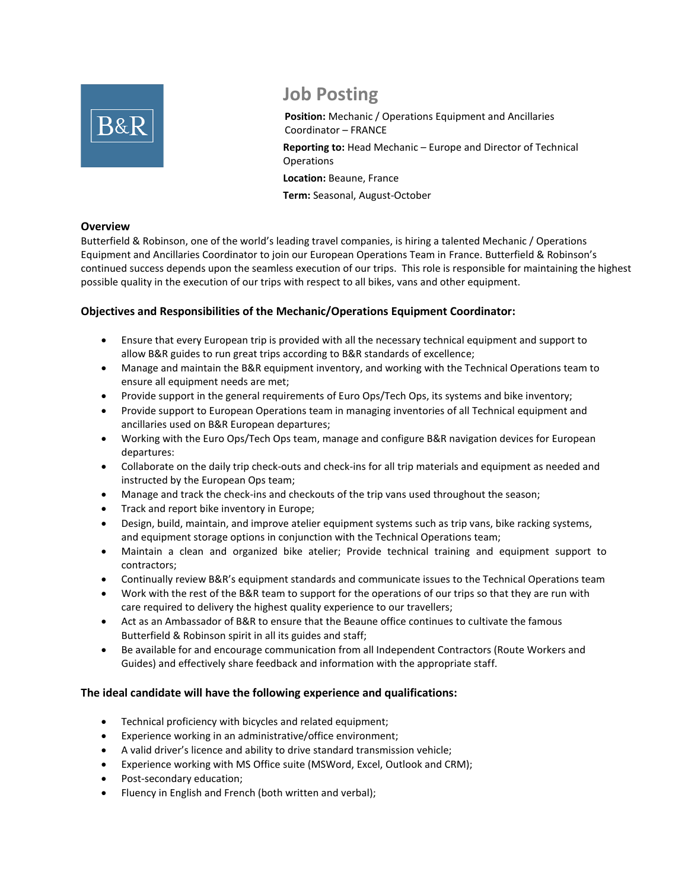

# **Job Posting**

**Position:** Mechanic / Operations Equipment and Ancillaries Coordinator – FRANCE

**Reporting to:** Head Mechanic – Europe and Director of Technical **Operations** 

**Location:** Beaune, France

**Term:** Seasonal, August-October

### **Overview**

Butterfield & Robinson, one of the world's leading travel companies, is hiring a talented Mechanic / Operations Equipment and Ancillaries Coordinator to join our European Operations Team in France. Butterfield & Robinson's continued success depends upon the seamless execution of our trips. This role is responsible for maintaining the highest possible quality in the execution of our trips with respect to all bikes, vans and other equipment.

## **Objectives and Responsibilities of the Mechanic/Operations Equipment Coordinator:**

- Ensure that every European trip is provided with all the necessary technical equipment and support to allow B&R guides to run great trips according to B&R standards of excellence;
- Manage and maintain the B&R equipment inventory, and working with the Technical Operations team to ensure all equipment needs are met;
- Provide support in the general requirements of Euro Ops/Tech Ops, its systems and bike inventory;
- Provide support to European Operations team in managing inventories of all Technical equipment and ancillaries used on B&R European departures;
- Working with the Euro Ops/Tech Ops team, manage and configure B&R navigation devices for European departures:
- Collaborate on the daily trip check-outs and check-ins for all trip materials and equipment as needed and instructed by the European Ops team;
- Manage and track the check-ins and checkouts of the trip vans used throughout the season;
- Track and report bike inventory in Europe;
- Design, build, maintain, and improve atelier equipment systems such as trip vans, bike racking systems, and equipment storage options in conjunction with the Technical Operations team;
- Maintain a clean and organized bike atelier; Provide technical training and equipment support to contractors;
- Continually review B&R's equipment standards and communicate issues to the Technical Operations team
- Work with the rest of the B&R team to support for the operations of our trips so that they are run with care required to delivery the highest quality experience to our travellers;
- Act as an Ambassador of B&R to ensure that the Beaune office continues to cultivate the famous Butterfield & Robinson spirit in all its guides and staff;
- Be available for and encourage communication from all Independent Contractors (Route Workers and Guides) and effectively share feedback and information with the appropriate staff.

## **The ideal candidate will have the following experience and qualifications:**

- Technical proficiency with bicycles and related equipment;
- Experience working in an administrative/office environment;
- A valid driver's licence and ability to drive standard transmission vehicle;
- Experience working with MS Office suite (MSWord, Excel, Outlook and CRM);
- Post-secondary education;
- Fluency in English and French (both written and verbal);